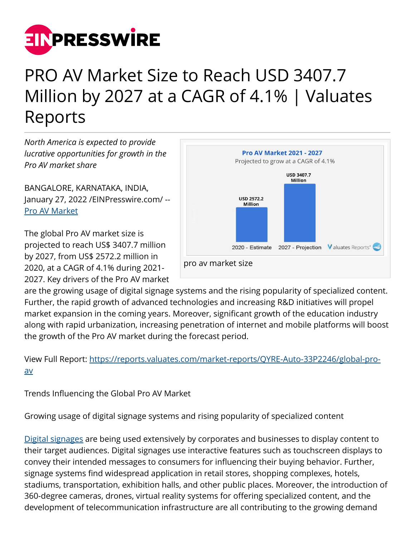

## PRO AV Market Size to Reach USD 3407.7 Million by 2027 at a CAGR of 4.1% | Valuates Reports

*North America is expected to provide lucrative opportunities for growth in the Pro AV market share*

BANGALORE, KARNATAKA, INDIA, January 27, 2022 /[EINPresswire.com](http://www.einpresswire.com)/ -- [Pro AV Market](https://reports.valuates.com/market-reports/QYRE-Auto-33P2246/global-pro-av)

The global Pro AV market size is projected to reach US\$ 3407.7 million by 2027, from US\$ 2572.2 million in 2020, at a CAGR of 4.1% during 2021- 2027. Key drivers of the Pro AV market



are the growing usage of digital signage systems and the rising popularity of specialized content. Further, the rapid growth of advanced technologies and increasing R&D initiatives will propel market expansion in the coming years. Moreover, significant growth of the education industry along with rapid urbanization, increasing penetration of internet and mobile platforms will boost the growth of the Pro AV market during the forecast period.

View Full Report: [https://reports.valuates.com/market-reports/QYRE-Auto-33P2246/global-pro](https://reports.valuates.com/market-reports/QYRE-Auto-33P2246/global-pro-av)[av](https://reports.valuates.com/market-reports/QYRE-Auto-33P2246/global-pro-av)

Trends Influencing the Global Pro AV Market

Growing usage of digital signage systems and rising popularity of specialized content

[Digital signages](https://reports.valuates.com/reports/QYRE-Auto-36S2936/global-digital-signage) are being used extensively by corporates and businesses to display content to their target audiences. Digital signages use interactive features such as touchscreen displays to convey their intended messages to consumers for influencing their buying behavior. Further, signage systems find widespread application in retail stores, shopping complexes, hotels, stadiums, transportation, exhibition halls, and other public places. Moreover, the introduction of 360-degree cameras, drones, virtual reality systems for offering specialized content, and the development of telecommunication infrastructure are all contributing to the growing demand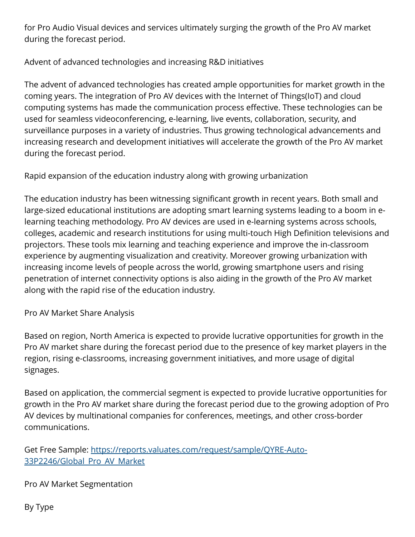for Pro Audio Visual devices and services ultimately surging the growth of the Pro AV market during the forecast period.

## Advent of advanced technologies and increasing R&D initiatives

The advent of advanced technologies has created ample opportunities for market growth in the coming years. The integration of Pro AV devices with the Internet of Things(IoT) and cloud computing systems has made the communication process effective. These technologies can be used for seamless videoconferencing, e-learning, live events, collaboration, security, and surveillance purposes in a variety of industries. Thus growing technological advancements and increasing research and development initiatives will accelerate the growth of the Pro AV market during the forecast period.

Rapid expansion of the education industry along with growing urbanization

The education industry has been witnessing significant growth in recent years. Both small and large-sized educational institutions are adopting smart learning systems leading to a boom in elearning teaching methodology. Pro AV devices are used in e-learning systems across schools, colleges, academic and research institutions for using multi-touch High Definition televisions and projectors. These tools mix learning and teaching experience and improve the in-classroom experience by augmenting visualization and creativity. Moreover growing urbanization with increasing income levels of people across the world, growing smartphone users and rising penetration of internet connectivity options is also aiding in the growth of the Pro AV market along with the rapid rise of the education industry.

Pro AV Market Share Analysis

Based on region, North America is expected to provide lucrative opportunities for growth in the Pro AV market share during the forecast period due to the presence of key market players in the region, rising e-classrooms, increasing government initiatives, and more usage of digital signages.

Based on application, the commercial segment is expected to provide lucrative opportunities for growth in the Pro AV market share during the forecast period due to the growing adoption of Pro AV devices by multinational companies for conferences, meetings, and other cross-border communications.

Get Free Sample: [https://reports.valuates.com/request/sample/QYRE-Auto-](https://reports.valuates.com/request/sample/QYRE-Auto-33P2246/Global_Pro_AV_Market)33P2246/Global Pro AV Market

Pro AV Market Segmentation

By Type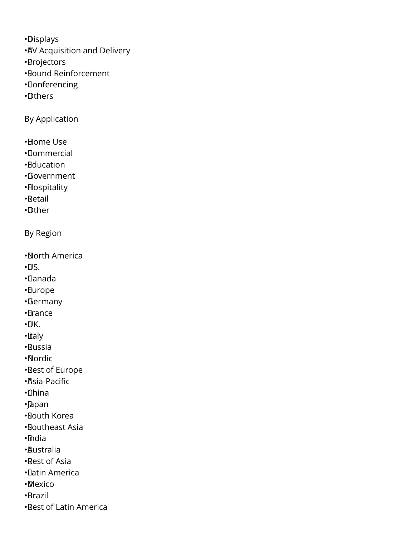• Displays

- AV Acquisition and Delivery
- • Projectors
- • Sound Reinforcement
- • Conferencing
- • Others

By Application

- • Home Use
- • Commercial
- • Education
- • Government
- • Hospitality
- • Retail
- • Other

By Region

- • North America
- $\cdot \Pi S$ .
- • Canada
- • Europe
- • Germany
- • France
- $\cdot$ UK.
- • Italy
- • Russia
- • Nordic
- • Rest of Europe
- • Asia-Pacific
- • China
- • Japan
- • South Korea
- • Southeast Asia
- • India
- • Australia
- • Rest of Asia
- • Latin America
- • Mexico
- • Brazil
- • Rest of Latin America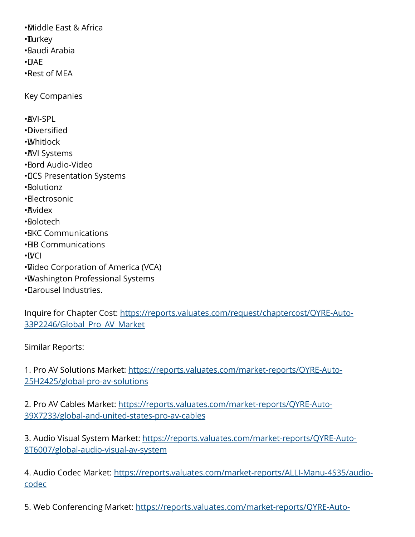• Middle East & Africa •∏urkey • Saudi Arabia  $\cdot$  $\Box$ AF • Rest of MEA Key Companies • AVI-SPL • Diversified • Whitlock **· AVI Systems** • Ford Audio-Video • CCS Presentation Systems • Solutionz • Electrosonic • Avidex • Solotech • SKC Communications • HB Communications • IVCI • Video Corporation of America (VCA) • Washington Professional Systems • Carousel Industries.

Inquire for Chapter Cost: [https://reports.valuates.com/request/chaptercost/QYRE-Auto-](https://reports.valuates.com/request/chaptercost/QYRE-Auto-33P2246/Global_Pro_AV_Market)[33P2246/Global\\_Pro\\_AV\\_Market](https://reports.valuates.com/request/chaptercost/QYRE-Auto-33P2246/Global_Pro_AV_Market)

Similar Reports:

1. Pro AV Solutions Market: [https://reports.valuates.com/market-reports/QYRE-Auto-](https://reports.valuates.com/market-reports/QYRE-Auto-25H2425/global-pro-av-solutions)[25H2425/global-pro-av-solutions](https://reports.valuates.com/market-reports/QYRE-Auto-25H2425/global-pro-av-solutions)

2. Pro AV Cables Market: [https://reports.valuates.com/market-reports/QYRE-Auto-](https://reports.valuates.com/market-reports/QYRE-Auto-39X7233/global-and-united-states-pro-av-cables)[39X7233/global-and-united-states-pro-av-cables](https://reports.valuates.com/market-reports/QYRE-Auto-39X7233/global-and-united-states-pro-av-cables)

3. Audio Visual System Market: [https://reports.valuates.com/market-reports/QYRE-Auto-](https://reports.valuates.com/market-reports/QYRE-Auto-8T6007/global-audio-visual-av-system)[8T6007/global-audio-visual-av-system](https://reports.valuates.com/market-reports/QYRE-Auto-8T6007/global-audio-visual-av-system)

4. Audio Codec Market: [https://reports.valuates.com/market-reports/ALLI-Manu-4S35/audio](https://reports.valuates.com/market-reports/ALLI-Manu-4S35/audio-codec)[codec](https://reports.valuates.com/market-reports/ALLI-Manu-4S35/audio-codec)

5. Web Conferencing Market: [https://reports.valuates.com/market-reports/QYRE-Auto-](https://reports.valuates.com/market-reports/QYRE-Auto-24L2147/global-web-conferencing)